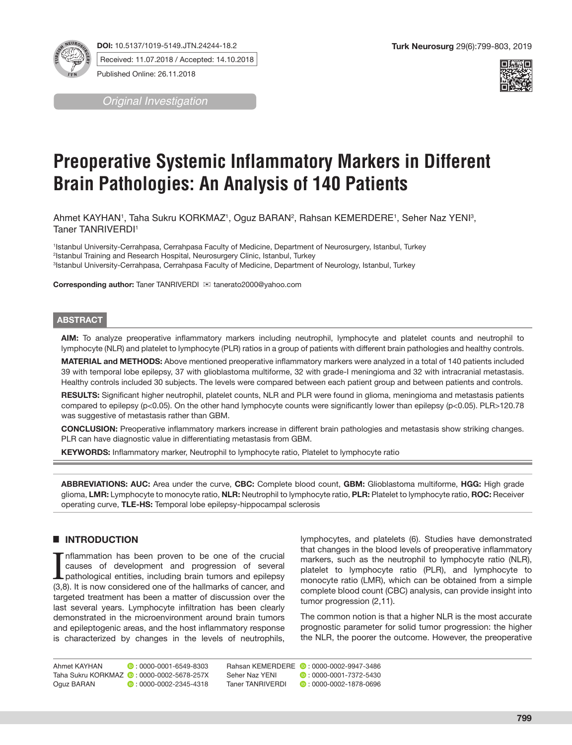

**DOI:** 10.5137/1019-5149.JTN.24244-18.2 Received: 11.07.2018 / Accepted: 14.10.2018

Published Online: 26.11.2018

*Original Investigation*



# **Preoperative Systemic Inflammatory Markers in Different Brain Pathologies: An Analysis of 140 Patients**

Ahmet KAYHAN1, Taha Sukru KORKMAZ1, Oguz BARAN², Rahsan KEMERDERE1, Seher Naz YENI<sup>3</sup>, Taner TANRIVERDI<sup>1</sup>

1 Istanbul University-Cerrahpasa, Cerrahpasa Faculty of Medicine, Department of Neurosurgery, Istanbul, Turkey 2 Istanbul Training and Research Hospital, Neurosurgery Clinic, Istanbul, Turkey 3 Istanbul University-Cerrahpasa, Cerrahpasa Faculty of Medicine, Department of Neurology, Istanbul, Turkey

**Corresponding author:** Taner TANRIVERDI **imediato and the Corresponding author:** Taner TANRIVERDI **imediators** 

#### **ABSTRACT**

**AIM:** To analyze preoperative inflammatory markers including neutrophil, lymphocyte and platelet counts and neutrophil to lymphocyte (NLR) and platelet to lymphocyte (PLR) ratios in a group of patients with different brain pathologies and healthy controls.

**MATERIAL and METHODS:** Above mentioned preoperative inflammatory markers were analyzed in a total of 140 patients included 39 with temporal lobe epilepsy, 37 with glioblastoma multiforme, 32 with grade-I meningioma and 32 with intracranial metastasis. Healthy controls included 30 subjects. The levels were compared between each patient group and between patients and controls.

**RESULTS:** Significant higher neutrophil, platelet counts, NLR and PLR were found in glioma, meningioma and metastasis patients compared to epilepsy (p<0.05). On the other hand lymphocyte counts were significantly lower than epilepsy (p<0.05). PLR>120.78 was suggestive of metastasis rather than GBM.

**CONCLUSION:** Preoperative inflammatory markers increase in different brain pathologies and metastasis show striking changes. PLR can have diagnostic value in differentiating metastasis from GBM.

**KEYWORDS:** Inflammatory marker, Neutrophil to lymphocyte ratio, Platelet to lymphocyte ratio

**ABBREVIATIONS: AUC:** Area under the curve, **CBC:** Complete blood count, **GBM:** Glioblastoma multiforme, **HGG:** High grade glioma, **LMR:** Lymphocyte to monocyte ratio, **NLR:** Neutrophil to lymphocyte ratio, **PLR:** Platelet to lymphocyte ratio, **ROC:** Receiver operating curve, **TLE-HS:** Temporal lobe epilepsy-hippocampal sclerosis

## █ **INTRODUCTION**

Inflammation has been proven to be one of the crucial causes of development and progression of several pathological entities, including brain tumors and epilepsy (3,8). It is now considered one of the hallmarks of cancer, nflammation has been proven to be one of the crucial causes of development and progression of several pathological entities, including brain tumors and epilepsy targeted treatment has been a matter of discussion over the last several years. Lymphocyte infiltration has been clearly demonstrated in the microenvironment around brain tumors and epileptogenic areas, and the host inflammatory response is characterized by changes in the levels of neutrophils,

lymphocytes, and platelets (6). Studies have demonstrated that changes in the blood levels of preoperative inflammatory markers, such as the neutrophil to lymphocyte ratio (NLR), platelet to lymphocyte ratio (PLR), and lymphocyte to monocyte ratio (LMR), which can be obtained from a simple complete blood count (CBC) analysis, can provide insight into tumor progression (2,11).

The common notion is that a higher NLR is the most accurate prognostic parameter for solid tumor progression: the higher the NLR, the poorer the outcome. However, the preoperative

Ahmet KAYHAN **: 0000-0001-6549-8303** Oguz BARAN **: 0000-0002-2345-4318** 

Taha Sukru KORKMAZ **[:](https://orcid.org/0000-0002-5678-257X) 0000-0002-5678-257X** 

Taner TANRIVERDI : 0000-0002-1878-0696

Rahsan KEMERDERE **:** 0000-0002-9947-3486 Seher Naz YENI **:** 0000-0001-7372-5430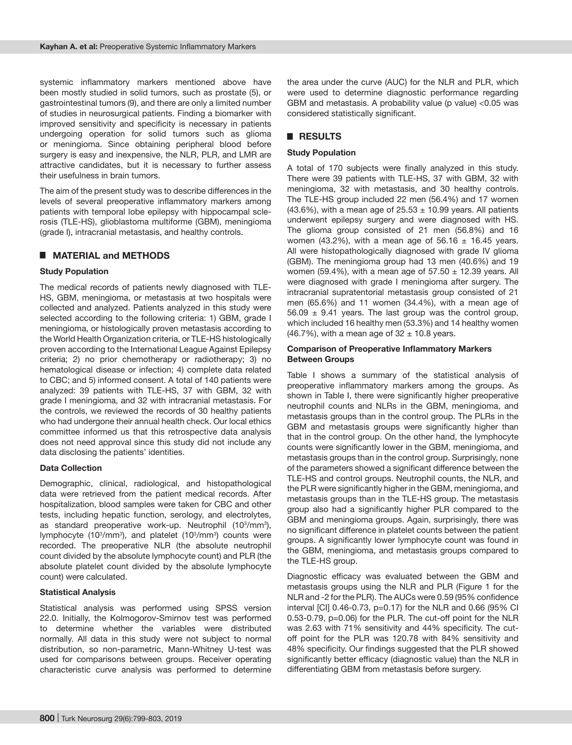systemic inflammatory markers mentioned above have been mostly studied in solid tumors, such as prostate (5), or gastrointestinal tumors (9), and there are only a limited number of studies in neurosurgical patients. Finding a biomarker with improved sensitivity and specificity is necessary in patients undergoing operation for solid tumors such as glioma or meningioma. Since obtaining peripheral blood before surgery is easy and inexpensive, the NLR, PLR, and LMR are attractive candidates, but it is necessary to further assess their usefulness in brain tumors.

The aim of the present study was to describe differences in the levels of several preoperative inflammatory markers among patients with temporal lobe epilepsy with hippocampal sclerosis (TLE-HS), glioblastoma multiforme (GBM), meningioma (grade I), intracranial metastasis, and healthy controls.

## █ **MATERIAL and METHODS**

#### **Study Population**

The medical records of patients newly diagnosed with TLE-HS, GBM, meningioma, or metastasis at two hospitals were collected and analyzed. Patients analyzed in this study were selected according to the following criteria: 1) GBM, grade I meningioma, or histologically proven metastasis according to the World Health Organization criteria, or TLE-HS histologically proven according to the International League Against Epilepsy criteria; 2) no prior chemotherapy or radiotherapy; 3) no hematological disease or infection; 4) complete data related to CBC; and 5) informed consent. A total of 140 patients were analyzed: 39 patients with TLE-HS, 37 with GBM, 32 with grade I meningioma, and 32 with intracranial metastasis. For the controls, we reviewed the records of 30 healthy patients who had undergone their annual health check. Our local ethics committee informed us that this retrospective data analysis does not need approval since this study did not include any data disclosing the patients' identities.

## **Data Collection**

Demographic, clinical, radiological, and histopathological data were retrieved from the patient medical records. After hospitalization, blood samples were taken for CBC and other tests, including hepatic function, serology, and electrolytes, as standard preoperative work-up. Neutrophil (10<sup>3</sup>/mm<sup>3</sup>), lymphocyte (10<sup>3</sup>/mm<sup>3</sup>), and platelet (10<sup>3</sup>/mm<sup>3</sup>) counts were recorded. The preoperative NLR (the absolute neutrophil count divided by the absolute lymphocyte count) and PLR (the absolute platelet count divided by the absolute lymphocyte count) were calculated.

#### **Statistical Analysis**

Statistical analysis was performed using SPSS version 22.0. Initially, the Kolmogorov-Smirnov test was performed to determine whether the variables were distributed normally. All data in this study were not subject to normal distribution, so non-parametric, Mann-Whitney U-test was used for comparisons between groups. Receiver operating characteristic curve analysis was performed to determine the area under the curve (AUC) for the NLR and PLR, which were used to determine diagnostic performance regarding GBM and metastasis. A probability value (p value) <0.05 was considered statistically significant.

## █ **RESULTS**

#### **Study Population**

A total of 170 subjects were finally analyzed in this study. There were 39 patients with TLE-HS, 37 with GBM, 32 with meningioma, 32 with metastasis, and 30 healthy controls. The TLE-HS group included 22 men (56.4%) and 17 women (43.6%), with a mean age of  $25.53 \pm 10.99$  years. All patients underwent epilepsy surgery and were diagnosed with HS. The glioma group consisted of 21 men (56.8%) and 16 women (43.2%), with a mean age of  $56.16 \pm 16.45$  years. All were histopathologically diagnosed with grade IV glioma (GBM). The meningioma group had 13 men (40.6%) and 19 women (59.4%), with a mean age of  $57.50 \pm 12.39$  years. All were diagnosed with grade I meningioma after surgery. The intracranial supratentorial metastasis group consisted of 21 men (65.6%) and 11 women (34.4%), with a mean age of 56.09  $\pm$  9.41 years. The last group was the control group, which included 16 healthy men (53.3%) and 14 healthy women (46.7%), with a mean age of  $32 \pm 10.8$  years.

#### **Comparison of Preoperative Inflammatory Markers Between Groups**

Table I shows a summary of the statistical analysis of preoperative inflammatory markers among the groups. As shown in Table I, there were significantly higher preoperative neutrophil counts and NLRs in the GBM, meningioma, and metastasis groups than in the control group. The PLRs in the GBM and metastasis groups were significantly higher than that in the control group. On the other hand, the lymphocyte counts were significantly lower in the GBM, meningioma, and metastasis groups than in the control group. Surprisingly, none of the parameters showed a significant difference between the TLE-HS and control groups. Neutrophil counts, the NLR, and the PLR were significantly higher in the GBM, meningioma, and metastasis groups than in the TLE-HS group. The metastasis group also had a significantly higher PLR compared to the GBM and meningioma groups. Again, surprisingly, there was no significant difference in platelet counts between the patient groups. A significantly lower lymphocyte count was found in the GBM, meningioma, and metastasis groups compared to the TLE-HS group.

Diagnostic efficacy was evaluated between the GBM and metastasis groups using the NLR and PLR (Figure 1 for the NLR and -2 for the PLR). The AUCs were 0.59 (95% confidence interval [CI] 0.46-0.73, p=0.17) for the NLR and 0.66 (95% CI 0.53-0.79, p=0.06) for the PLR. The cut-off point for the NLR was 2.63 with 71% sensitivity and 44% specificity. The cutoff point for the PLR was 120.78 with 84% sensitivity and 48% specificity. Our findings suggested that the PLR showed significantly better efficacy (diagnostic value) than the NLR in differentiating GBM from metastasis before surgery.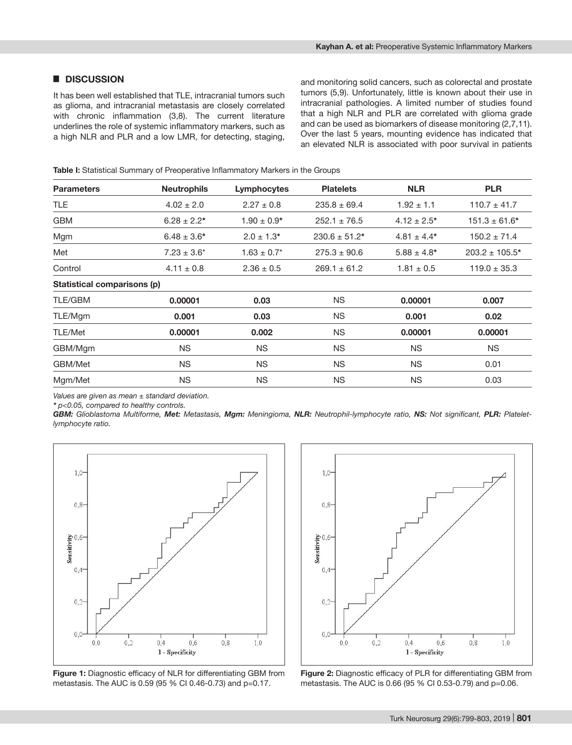## █ **DISCUSSION**

It has been well established that TLE, intracranial tumors such as glioma, and intracranial metastasis are closely correlated with chronic inflammation (3,8). The current literature underlines the role of systemic inflammatory markers, such as a high NLR and PLR and a low LMR, for detecting, staging,

and monitoring solid cancers, such as colorectal and prostate tumors (5,9). Unfortunately, little is known about their use in intracranial pathologies. A limited number of studies found that a high NLR and PLR are correlated with glioma grade and can be used as biomarkers of disease monitoring (2,7,11). Over the last 5 years, mounting evidence has indicated that an elevated NLR is associated with poor survival in patients

**Table I:** Statistical Summary of Preoperative Inflammatory Markers in the Groups

| <b>Parameters</b>           | <b>Neutrophils</b> | Lymphocytes      | <b>Platelets</b>  | <b>NLR</b>       | <b>PLR</b>          |
|-----------------------------|--------------------|------------------|-------------------|------------------|---------------------|
| <b>TLE</b>                  | $4.02 \pm 2.0$     | $2.27 \pm 0.8$   | $235.8 \pm 69.4$  | $1.92 \pm 1.1$   | $110.7 \pm 41.7$    |
| <b>GBM</b>                  | $6.28 \pm 2.2^*$   | $1.90 \pm 0.9*$  | $252.1 \pm 76.5$  | $4.12 \pm 2.5^*$ | $151.3 \pm 61.6^*$  |
| Mgm                         | $6.48 \pm 3.6*$    | $2.0 \pm 1.3*$   | $230.6 \pm 51.2*$ | $4.81 \pm 4.4*$  | $150.2 \pm 71.4$    |
| Met                         | $7.23 \pm 3.6^*$   | $1.63 \pm 0.7^*$ | $275.3 \pm 90.6$  | $5.88 \pm 4.8^*$ | $203.2 \pm 105.5^*$ |
| Control                     | $4.11 \pm 0.8$     | $2.36 \pm 0.5$   | $269.1 \pm 61.2$  | $1.81 \pm 0.5$   | $119.0 \pm 35.3$    |
| Statistical comparisons (p) |                    |                  |                   |                  |                     |
| <b>TLE/GBM</b>              | 0.00001            | 0.03             | <b>NS</b>         | 0.00001          | 0.007               |
| TLE/Mgm                     | 0.001              | 0.03             | <b>NS</b>         | 0.001            | 0.02                |
| <b>TLE/Met</b>              | 0.00001            | 0.002            | <b>NS</b>         | 0.00001          | 0.00001             |
| GBM/Mgm                     | <b>NS</b>          | <b>NS</b>        | <b>NS</b>         | <b>NS</b>        | <b>NS</b>           |
| GBM/Met                     | <b>NS</b>          | <b>NS</b>        | <b>NS</b>         | <b>NS</b>        | 0.01                |
| Mgm/Met                     | <b>NS</b>          | <b>NS</b>        | <b>NS</b>         | <b>NS</b>        | 0.03                |

*Values are given as mean ± standard deviation.*

*\* p<0.05, compared to healthy controls.*

*GBM: Glioblastoma Multiforme, Met: Metastasis, Mgm: Meningioma, NLR: Neutrophil-lymphocyte ratio, NS: Not significant, PLR: Plateletlymphocyte ratio.*



**Figure 1:** Diagnostic efficacy of NLR for differentiating GBM from metastasis. The AUC is 0.59 (95 % CI 0.46-0.73) and p=0.17.



**Figure 2:** Diagnostic efficacy of PLR for differentiating GBM from metastasis. The AUC is 0.66 (95 % CI 0.53-0.79) and p=0.06.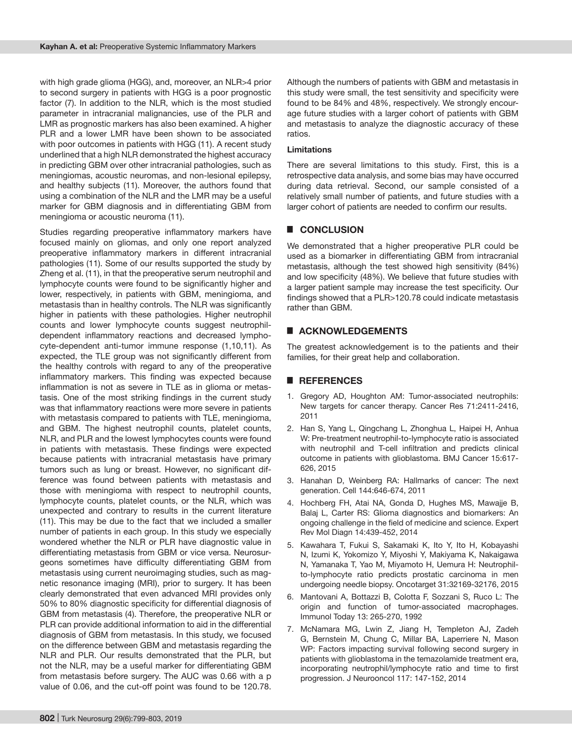with high grade glioma (HGG), and, moreover, an NLR>4 prior to second surgery in patients with HGG is a poor prognostic factor (7). In addition to the NLR, which is the most studied parameter in intracranial malignancies, use of the PLR and LMR as prognostic markers has also been examined. A higher PLR and a lower LMR have been shown to be associated with poor outcomes in patients with HGG (11). A recent study underlined that a high NLR demonstrated the highest accuracy in predicting GBM over other intracranial pathologies, such as meningiomas, acoustic neuromas, and non-lesional epilepsy, and healthy subjects (11). Moreover, the authors found that using a combination of the NLR and the LMR may be a useful marker for GBM diagnosis and in differentiating GBM from meningioma or acoustic neuroma (11).

Studies regarding preoperative inflammatory markers have focused mainly on gliomas, and only one report analyzed preoperative inflammatory markers in different intracranial pathologies (11). Some of our results supported the study by Zheng et al. (11), in that the preoperative serum neutrophil and lymphocyte counts were found to be significantly higher and lower, respectively, in patients with GBM, meningioma, and metastasis than in healthy controls. The NLR was significantly higher in patients with these pathologies. Higher neutrophil counts and lower lymphocyte counts suggest neutrophildependent inflammatory reactions and decreased lymphocyte-dependent anti-tumor immune response (1,10,11). As expected, the TLE group was not significantly different from the healthy controls with regard to any of the preoperative inflammatory markers. This finding was expected because inflammation is not as severe in TLE as in glioma or metastasis. One of the most striking findings in the current study was that inflammatory reactions were more severe in patients with metastasis compared to patients with TLE, meningioma, and GBM. The highest neutrophil counts, platelet counts, NLR, and PLR and the lowest lymphocytes counts were found in patients with metastasis. These findings were expected because patients with intracranial metastasis have primary tumors such as lung or breast. However, no significant difference was found between patients with metastasis and those with meningioma with respect to neutrophil counts, lymphocyte counts, platelet counts, or the NLR, which was unexpected and contrary to results in the current literature (11). This may be due to the fact that we included a smaller number of patients in each group. In this study we especially wondered whether the NLR or PLR have diagnostic value in differentiating metastasis from GBM or vice versa. Neurosurgeons sometimes have difficulty differentiating GBM from metastasis using current neuroimaging studies, such as magnetic resonance imaging (MRI), prior to surgery. It has been clearly demonstrated that even advanced MRI provides only 50% to 80% diagnostic specificity for differential diagnosis of GBM from metastasis (4). Therefore, the preoperative NLR or PLR can provide additional information to aid in the differential diagnosis of GBM from metastasis. In this study, we focused on the difference between GBM and metastasis regarding the NLR and PLR. Our results demonstrated that the PLR, but not the NLR, may be a useful marker for differentiating GBM from metastasis before surgery. The AUC was 0.66 with a p value of 0.06, and the cut-off point was found to be 120.78.

Although the numbers of patients with GBM and metastasis in this study were small, the test sensitivity and specificity were found to be 84% and 48%, respectively. We strongly encourage future studies with a larger cohort of patients with GBM and metastasis to analyze the diagnostic accuracy of these ratios.

### **Limitations**

There are several limitations to this study. First, this is a retrospective data analysis, and some bias may have occurred during data retrieval. Second, our sample consisted of a relatively small number of patients, and future studies with a larger cohort of patients are needed to confirm our results.

# █ **CONCLUSION**

We demonstrated that a higher preoperative PLR could be used as a biomarker in differentiating GBM from intracranial metastasis, although the test showed high sensitivity (84%) and low specificity (48%). We believe that future studies with a larger patient sample may increase the test specificity. Our findings showed that a PLR>120.78 could indicate metastasis rather than GBM.

## █ **ACKNOWLEDGEMENTS**

The greatest acknowledgement is to the patients and their families, for their great help and collaboration.

## █ **REFERENCES**

- 1. Gregory AD, Houghton AM: Tumor-associated neutrophils: New targets for cancer therapy. Cancer Res 71:2411-2416, 2011
- 2. Han S, Yang L, Qingchang L, Zhonghua L, Haipei H, Anhua W: Pre-treatment neutrophil-to-lymphocyte ratio is associated with neutrophil and T-cell infiltration and predicts clinical outcome in patients with glioblastoma. BMJ Cancer 15:617- 626, 2015
- 3. Hanahan D, Weinberg RA: Hallmarks of cancer: The next generation. Cell 144:646-674, 2011
- 4. Hochberg FH, Atai NA, Gonda D, Hughes MS, Mawajje B, Balaj L, Carter RS: Glioma diagnostics and biomarkers: An ongoing challenge in the field of medicine and science. Expert Rev Mol Diagn 14:439-452, 2014
- 5. Kawahara T, Fukui S, Sakamaki K, Ito Y, Ito H, Kobayashi N, Izumi K, Yokomizo Y, Miyoshi Y, Makiyama K, Nakaigawa N, Yamanaka T, Yao M, Miyamoto H, Uemura H: Neutrophilto-lymphocyte ratio predicts prostatic carcinoma in men undergoing needle biopsy. Oncotarget 31:32169-32176, 2015
- 6. Mantovani A, Bottazzi B, Colotta F, Sozzani S, Ruco L: The origin and function of tumor-associated macrophages. Immunol Today 13: 265-270, 1992
- 7. McNamara MG, Lwin Z, Jiang H, Templeton AJ, Zadeh G, Bernstein M, Chung C, Millar BA, Laperriere N, Mason WP: Factors impacting survival following second surgery in patients with glioblastoma in the temazolamide treatment era, incorporating neutrophil/lymphocyte ratio and time to first progression. J Neurooncol 117: 147-152, 2014